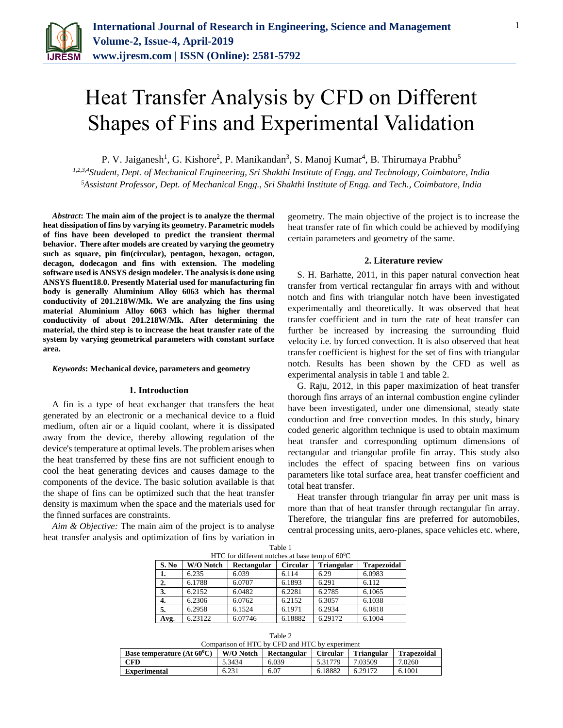

# Heat Transfer Analysis by CFD on Different Shapes of Fins and Experimental Validation

P. V. Jaiganesh<sup>1</sup>, G. Kishore<sup>2</sup>, P. Manikandan<sup>3</sup>, S. Manoj Kumar<sup>4</sup>, B. Thirumaya Prabhu<sup>5</sup>

*1,2,3,4Student, Dept. of Mechanical Engineering, Sri Shakthi Institute of Engg. and Technology, Coimbatore, India <sup>5</sup>Assistant Professor, Dept. of Mechanical Engg., Sri Shakthi Institute of Engg. and Tech., Coimbatore, India*

*Abstract***: The main aim of the project is to analyze the thermal heat dissipation of fins by varying its geometry. Parametric models of fins have been developed to predict the transient thermal behavior. There after models are created by varying the geometry such as square, pin fin(circular), pentagon, hexagon, octagon, decagon, dodecagon and fins with extension. The modeling software used is ANSYS design modeler. The analysis is done using ANSYS fluent18.0. Presently Material used for manufacturing fin body is generally Aluminium Alloy 6063 which has thermal conductivity of 201.218W/Mk. We are analyzing the fins using material Aluminium Alloy 6063 which has higher thermal conductivity of about 201.218W/Mk. After determining the material, the third step is to increase the heat transfer rate of the system by varying geometrical parameters with constant surface area.** 

#### *Keywords***: Mechanical device, parameters and geometry**

#### **1. Introduction**

A fin is a type of heat exchanger that transfers the heat generated by an electronic or a mechanical device to a fluid medium, often air or a liquid coolant, where it is dissipated away from the device, thereby allowing regulation of the device's temperature at optimal levels. The problem arises when the heat transferred by these fins are not sufficient enough to cool the heat generating devices and causes damage to the components of the device. The basic solution available is that the shape of fins can be optimized such that the heat transfer density is maximum when the space and the materials used for the finned surfaces are constraints.

*Aim & Objective:* The main aim of the project is to analyse heat transfer analysis and optimization of fins by variation in geometry. The main objective of the project is to increase the heat transfer rate of fin which could be achieved by modifying certain parameters and geometry of the same.

#### **2. Literature review**

S. H. Barhatte, 2011, in this paper natural convection heat transfer from vertical rectangular fin arrays with and without notch and fins with triangular notch have been investigated experimentally and theoretically. It was observed that heat transfer coefficient and in turn the rate of heat transfer can further be increased by increasing the surrounding fluid velocity i.e. by forced convection. It is also observed that heat transfer coefficient is highest for the set of fins with triangular notch. Results has been shown by the CFD as well as experimental analysis in table 1 and table 2.

G. Raju, 2012, in this paper maximization of heat transfer thorough fins arrays of an internal combustion engine cylinder have been investigated, under one dimensional, steady state conduction and free convection modes. In this study, binary coded generic algorithm technique is used to obtain maximum heat transfer and corresponding optimum dimensions of rectangular and triangular profile fin array. This study also includes the effect of spacing between fins on various parameters like total surface area, heat transfer coefficient and total heat transfer.

Heat transfer through triangular fin array per unit mass is more than that of heat transfer through rectangular fin array. Therefore, the triangular fins are preferred for automobiles, central processing units, aero-planes, space vehicles etc. where,

| HTC for different notches at base temp of $60^{\circ}$ C |           |             |                 |                   |                    |  |  |  |  |  |  |
|----------------------------------------------------------|-----------|-------------|-----------------|-------------------|--------------------|--|--|--|--|--|--|
| S. No                                                    | W/O Notch | Rectangular | <b>Circular</b> | <b>Triangular</b> | <b>Trapezoidal</b> |  |  |  |  |  |  |
| 1.                                                       | 6.235     | 6.039       | 6.114           | 6.29              | 6.0983             |  |  |  |  |  |  |
| 2.                                                       | 6.1788    | 6.0707      | 6.1893          | 6.291             | 6.112              |  |  |  |  |  |  |
| 3.                                                       | 6.2152    | 6.0482      | 6.2281          | 6.2785            | 6.1065             |  |  |  |  |  |  |
| 4.                                                       | 6.2306    | 6.0762      | 6.2152          | 6.3057            | 6.1038             |  |  |  |  |  |  |
| 5.                                                       | 6.2958    | 6.1524      | 6.1971          | 6.2934            | 6.0818             |  |  |  |  |  |  |
| Avg.                                                     | 6.23122   | 6.07746     | 6.18882         | 6.29172           | 6.1004             |  |  |  |  |  |  |

Table 1

| Table 2                                        |
|------------------------------------------------|
| Comparison of HTC by CED and HTC by experiment |

| Base temperature (At $60^{\circ}$ C) | W/O Notch | Rectangular | <b>Circular</b> | <b>Triangular</b> | <b>Trapezoidal</b> |
|--------------------------------------|-----------|-------------|-----------------|-------------------|--------------------|
| <b>CFD</b>                           | 5.3434    | 6.039       | 5.31779         | 7.03509           | 7.0260             |
| Experimental                         | 6.231     | 6.07        | 6.18882         | 6.29172           | 6.1001             |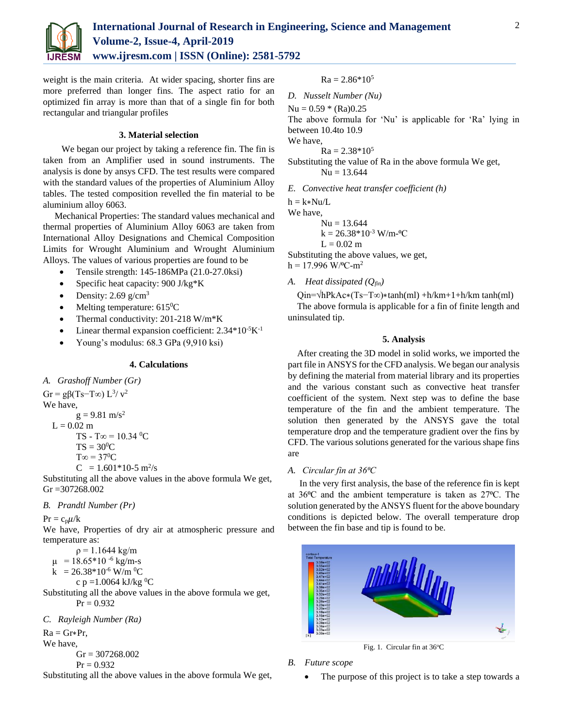

weight is the main criteria. At wider spacing, shorter fins are more preferred than longer fins. The aspect ratio for an optimized fin array is more than that of a single fin for both rectangular and triangular profiles

### **3. Material selection**

We began our project by taking a reference fin. The fin is taken from an Amplifier used in sound instruments. The analysis is done by ansys CFD. The test results were compared with the standard values of the properties of Aluminium Alloy tables. The tested composition revelled the fin material to be aluminium alloy 6063.

Mechanical Properties: The standard values mechanical and thermal properties of Aluminium Alloy 6063 are taken from International Alloy Designations and Chemical Composition Limits for Wrought Aluminium and Wrought Aluminium Alloys. The values of various properties are found to be

- Tensile strength: 145-186MPa (21.0-27.0ksi)
- Specific heat capacity: 900 J/kg\*K
- Density:  $2.69$  g/cm<sup>3</sup>
- Melting temperature:  $615^{\circ}$ C
- Thermal conductivity: 201-218 W/m\*K
- Linear thermal expansion coefficient:  $2.34*10<sup>-5</sup>K<sup>-1</sup>$
- Young's modulus: 68.3 GPa (9,910 ksi)

## **4. Calculations**

*A. Grashoff Number (Gr)* 

 $Gr = g\beta(Ts-T\infty) L^{3}/v^2$ We have,  $g = 9.81$  m/s<sup>2</sup>  $L = 0.02$  m TS - T∞ =  $10.34 \text{ °C}$  $TS = 30^0C$  $T\infty = 37^{\circ}C$  $C = 1.601*10-5$  m<sup>2</sup>/s

Substituting all the above values in the above formula We get, Gr =307268.002

# *B. Prandtl Number (Pr)*

 $Pr = c_p \mu/k$ 

We have, Properties of dry air at atmospheric pressure and temperature as:

 $ρ = 1.1644 kg/m$ 

 $\mu$  = 18.65\*10<sup>-6</sup> kg/m-s

 $k = 26.38*10<sup>-6</sup> W/m<sup>-0</sup>C$ 

c p =1.0064 kJ/kg <sup>0</sup>C

Substituting all the above values in the above formula we get,  $Pr = 0.932$ 

*C. Rayleigh Number (Ra)*

 $Ra = Gr * Pr$ ,

We have,

 $Gr = 307268.002$ 

$$
Pr=0.932
$$

Substituting all the above values in the above formula We get,

 $Ra = 2.86*10^5$ 

*D. Nusselt Number (Nu)*

$$
Nu = 0.59 * (Ra)0.25
$$

The above formula for 'Nu' is applicable for 'Ra' lying in between 10.4to 10.9

We have,

 $Ra = 2.38*10^5$ 

Substituting the value of Ra in the above formula We get,  $Nu = 13.644$ 

*E. Convective heat transfer coefficient (h)* 

 $h = k*Nu/L$ 

We have,

 $Nu = 13.644$  $k = 26.38*10<sup>-3</sup>$  W/m-<sup>o</sup>C  $L = 0.02$  m

Substituting the above values, we get,  $h = 17.996$  W/<sup>o</sup>C-m<sup>2</sup>

*A. Heat dissipated (Qfin)*

Qin=√hPkAc∗(Ts−T∞)∗tanh(ml) +h/km+1+h/km tanh(ml)

The above formula is applicable for a fin of finite length and uninsulated tip.

# **5. Analysis**

After creating the 3D model in solid works, we imported the part file in ANSYS for the CFD analysis. We began our analysis by defining the material from material library and its properties and the various constant such as convective heat transfer coefficient of the system. Next step was to define the base temperature of the fin and the ambient temperature. The solution then generated by the ANSYS gave the total temperature drop and the temperature gradient over the fins by CFD. The various solutions generated for the various shape fins are

# *A. Circular fin at 36⁰C*

In the very first analysis, the base of the reference fin is kept at  $36^{\circ}$ C and the ambient temperature is taken as  $27^{\circ}$ C. The solution generated by the ANSYS fluent for the above boundary conditions is depicted below. The overall temperature drop between the fin base and tip is found to be.



Fig. 1. Circular fin at 36°C

# *B. Future scope*

The purpose of this project is to take a step towards a